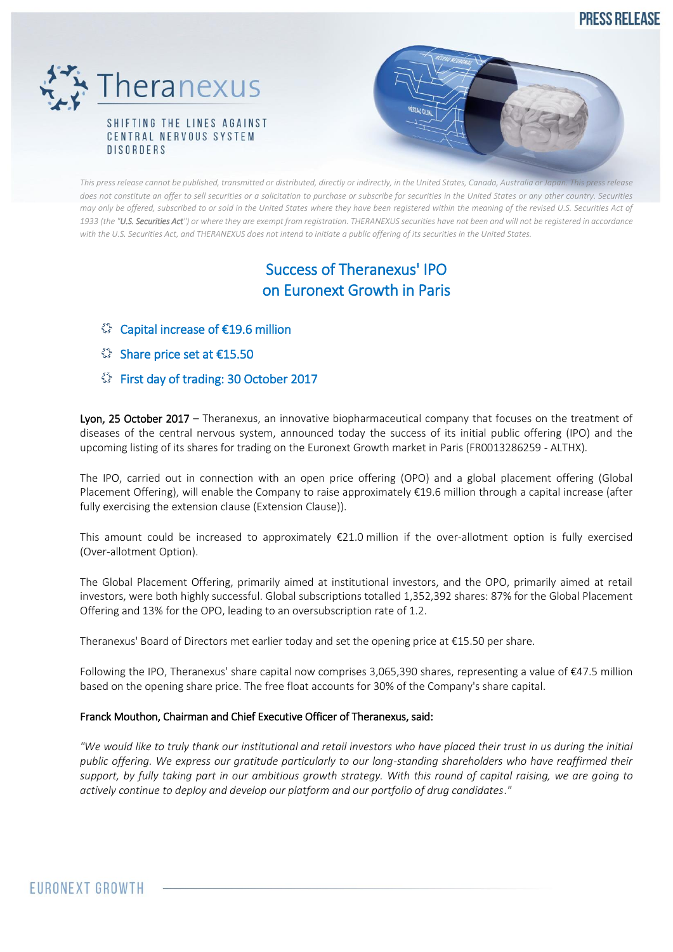**PRESS RELEASE** 



**DISORDERS** 

*This press release cannot be published, transmitted or distributed, directly or indirectly, in the United States, Canada, Australia or Japan. This press release*  does not constitute an offer to sell securities or a solicitation to purchase or subscribe for securities in the United States or any other country. Securities *may only be offered, subscribed to or sold in the United States where they have been registered within the meaning of the revised U.S. Securities Act of 1933 (the "U.S. Securities Act") or where they are exempt from registration. THERANEXUS securities have not been and will not be registered in accordance with the U.S. Securities Act, and THERANEXUS does not intend to initiate a public offering of its securities in the United States.*

# Success of Theranexus' IPO on Euronext Growth in Paris

- Capital increase of €19.6 million
- Share price set at €15.50
- First day of trading: 30 October 2017

Lyon, 25 October 2017 – Theranexus, an innovative biopharmaceutical company that focuses on the treatment of diseases of the central nervous system, announced today the success of its initial public offering (IPO) and the upcoming listing of its shares for trading on the Euronext Growth market in Paris (FR0013286259 - ALTHX).

The IPO, carried out in connection with an open price offering (OPO) and a global placement offering (Global Placement Offering), will enable the Company to raise approximately €19.6 million through a capital increase (after fully exercising the extension clause (Extension Clause)).

This amount could be increased to approximately  $\epsilon$ 21.0 million if the over-allotment option is fully exercised (Over-allotment Option).

The Global Placement Offering, primarily aimed at institutional investors, and the OPO, primarily aimed at retail investors, were both highly successful. Global subscriptions totalled 1,352,392 shares: 87% for the Global Placement Offering and 13% for the OPO, leading to an oversubscription rate of 1.2.

Theranexus' Board of Directors met earlier today and set the opening price at €15.50 per share.

Following the IPO, Theranexus' share capital now comprises 3,065,390 shares, representing a value of €47.5 million based on the opening share price. The free float accounts for 30% of the Company's share capital.

## Franck Mouthon, Chairman and Chief Executive Officer of Theranexus, said:

*"We would like to truly thank our institutional and retail investors who have placed their trust in us during the initial public offering. We express our gratitude particularly to our long-standing shareholders who have reaffirmed their support, by fully taking part in our ambitious growth strategy. With this round of capital raising, we are going to actively continue to deploy and develop our platform and our portfolio of drug candidates*.*"*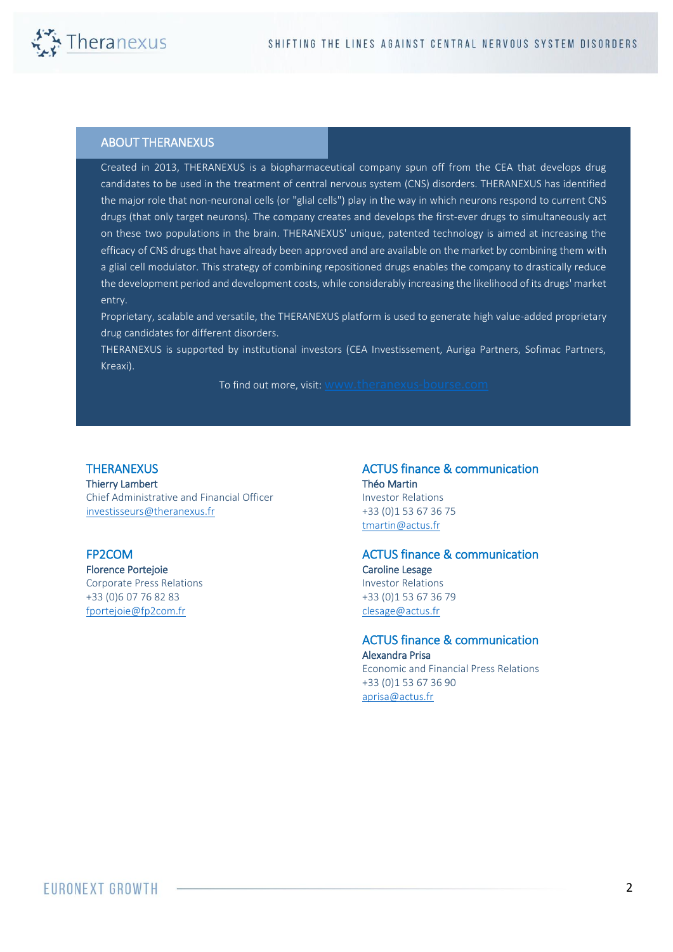

#### ABOUT THERANEXUS

Created in 2013, THERANEXUS is a biopharmaceutical company spun off from the CEA that develops drug candidates to be used in the treatment of central nervous system (CNS) disorders. THERANEXUS has identified the major role that non-neuronal cells (or "glial cells") play in the way in which neurons respond to current CNS drugs (that only target neurons). The company creates and develops the first-ever drugs to simultaneously act on these two populations in the brain. THERANEXUS' unique, patented technology is aimed at increasing the efficacy of CNS drugs that have already been approved and are available on the market by combining them with a glial cell modulator. This strategy of combining repositioned drugs enables the company to drastically reduce the development period and development costs, while considerably increasing the likelihood of its drugs' market entry.

Proprietary, scalable and versatile, the THERANEXUS platform is used to generate high value-added proprietary drug candidates for different disorders.

THERANEXUS is supported by institutional investors (CEA Investissement, Auriga Partners, Sofimac Partners, Kreaxi).

To find out more, visit: [www.theranexus-bourse.com](http://www.theranexus-bourse.com/)

### **THERANEXUS**

Thierry Lambert Chief Administrative and Financial Officer [investisseurs@theranexus.fr](mailto:investisseurs@theranexus.fr) 

### FP2COM

Florence Portejoie Corporate Press Relations +33 (0)6 07 76 82 83 [fportejoie@fp2com.fr](mailto:fportejoie@fp2com.fr)

ACTUS finance & communication Théo Martin Investor Relations +33 (0)1 53 67 36 75 [tmartin@actus.fr](mailto:tmartin@actus.fr)

#### ACTUS finance & communication Caroline Lesage Investor Relations +33 (0)1 53 67 36 79 [clesage@actus.fr](mailto:clesage@actus.fr)

 ACTUS finance & communication Alexandra Prisa Economic and Financial Press Relations +33 (0)1 53 67 36 90 [aprisa@actus.fr](mailto:aprisa@actus.fr)